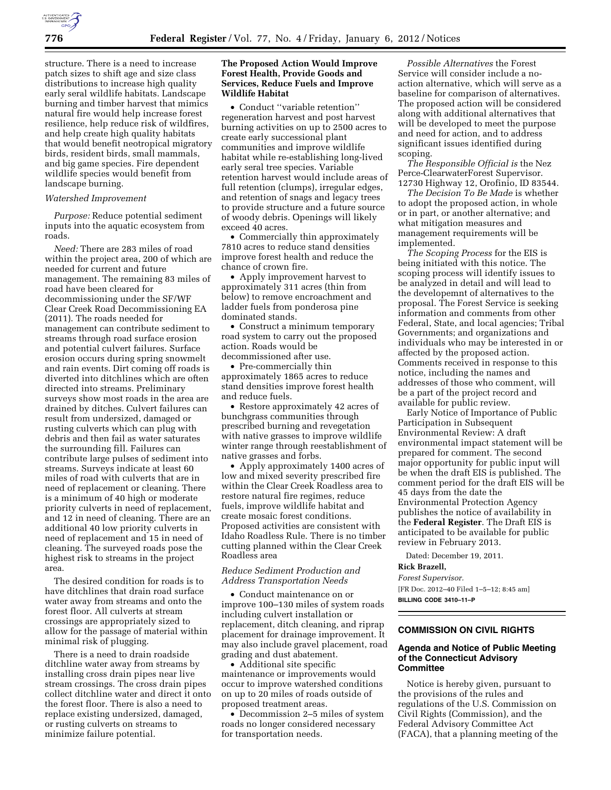

structure. There is a need to increase patch sizes to shift age and size class distributions to increase high quality early seral wildlife habitats. Landscape burning and timber harvest that mimics natural fire would help increase forest resilience, help reduce risk of wildfires, and help create high quality habitats that would benefit neotropical migratory birds, resident birds, small mammals, and big game species. Fire dependent wildlife species would benefit from landscape burning.

#### *Watershed Improvement*

*Purpose:* Reduce potential sediment inputs into the aquatic ecosystem from roads.

*Need:* There are 283 miles of road within the project area, 200 of which are needed for current and future management. The remaining 83 miles of road have been cleared for decommissioning under the SF/WF Clear Creek Road Decommissioning EA (2011). The roads needed for management can contribute sediment to streams through road surface erosion and potential culvert failures. Surface erosion occurs during spring snowmelt and rain events. Dirt coming off roads is diverted into ditchlines which are often directed into streams. Preliminary surveys show most roads in the area are drained by ditches. Culvert failures can result from undersized, damaged or rusting culverts which can plug with debris and then fail as water saturates the surrounding fill. Failures can contribute large pulses of sediment into streams. Surveys indicate at least 60 miles of road with culverts that are in need of replacement or cleaning. There is a minimum of 40 high or moderate priority culverts in need of replacement, and 12 in need of cleaning. There are an additional 40 low priority culverts in need of replacement and 15 in need of cleaning. The surveyed roads pose the highest risk to streams in the project area.

The desired condition for roads is to have ditchlines that drain road surface water away from streams and onto the forest floor. All culverts at stream crossings are appropriately sized to allow for the passage of material within minimal risk of plugging.

There is a need to drain roadside ditchline water away from streams by installing cross drain pipes near live stream crossings. The cross drain pipes collect ditchline water and direct it onto the forest floor. There is also a need to replace existing undersized, damaged, or rusting culverts on streams to minimize failure potential.

## **The Proposed Action Would Improve Forest Health, Provide Goods and Services, Reduce Fuels and Improve Wildlife Habitat**

• Conduct ''variable retention'' regeneration harvest and post harvest burning activities on up to 2500 acres to create early successional plant communities and improve wildlife habitat while re-establishing long-lived early seral tree species. Variable retention harvest would include areas of full retention (clumps), irregular edges, and retention of snags and legacy trees to provide structure and a future source of woody debris. Openings will likely exceed 40 acres.

• Commercially thin approximately 7810 acres to reduce stand densities improve forest health and reduce the chance of crown fire.

• Apply improvement harvest to approximately 311 acres (thin from below) to remove encroachment and ladder fuels from ponderosa pine dominated stands.

• Construct a minimum temporary road system to carry out the proposed action. Roads would be decommissioned after use.

• Pre-commercially thin approximately 1865 acres to reduce stand densities improve forest health and reduce fuels.

• Restore approximately 42 acres of bunchgrass communities through prescribed burning and revegetation with native grasses to improve wildlife winter range through reestablishment of native grasses and forbs.

• Apply approximately 1400 acres of low and mixed severity prescribed fire within the Clear Creek Roadless area to restore natural fire regimes, reduce fuels, improve wildlife habitat and create mosaic forest conditions. Proposed activities are consistent with Idaho Roadless Rule. There is no timber cutting planned within the Clear Creek Roadless area

#### *Reduce Sediment Production and Address Transportation Needs*

• Conduct maintenance on or improve 100–130 miles of system roads including culvert installation or replacement, ditch cleaning, and riprap placement for drainage improvement. It may also include gravel placement, road grading and dust abatement.

• Additional site specific maintenance or improvements would occur to improve watershed conditions on up to 20 miles of roads outside of proposed treatment areas.

• Decommission 2–5 miles of system roads no longer considered necessary for transportation needs.

*Possible Alternatives* the Forest Service will consider include a noaction alternative, which will serve as a baseline for comparison of alternatives. The proposed action will be considered along with additional alternatives that will be developed to meet the purpose and need for action, and to address significant issues identified during scoping.

*The Responsible Official is* the Nez Perce-ClearwaterForest Supervisor. 12730 Highway 12, Orofinio, ID 83544.

*The Decision To Be Made* is whether to adopt the proposed action, in whole or in part, or another alternative; and what mitigation measures and management requirements will be implemented.

*The Scoping Process* for the EIS is being initiated with this notice. The scoping process will identify issues to be analyzed in detail and will lead to the developemnt of alternatives to the proposal. The Forest Service is seeking information and comments from other Federal, State, and local agencies; Tribal Governments; and organizations and individuals who may be interested in or affected by the proposed action. Comments received in response to this notice, including the names and addresses of those who comment, will be a part of the project record and available for public review.

Early Notice of Importance of Public Participation in Subsequent Environmental Review: A draft environmental impact statement will be prepared for comment. The second major opportunity for public input will be when the draft EIS is published. The comment period for the draft EIS will be 45 days from the date the Environmental Protection Agency publishes the notice of availability in the **Federal Register**. The Draft EIS is anticipated to be available for public review in February 2013.

Dated: December 19, 2011.

# **Rick Brazell,**

*Forest Supervisor.* 

[FR Doc. 2012–40 Filed 1–5–12; 8:45 am] **BILLING CODE 3410–11–P** 

# **COMMISSION ON CIVIL RIGHTS**

# **Agenda and Notice of Public Meeting of the Connecticut Advisory Committee**

Notice is hereby given, pursuant to the provisions of the rules and regulations of the U.S. Commission on Civil Rights (Commission), and the Federal Advisory Committee Act (FACA), that a planning meeting of the